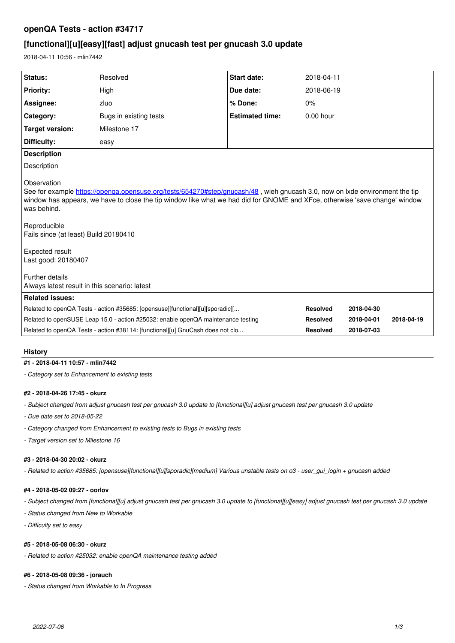# **openQA Tests - action #34717**

# **[functional][u][easy][fast] adjust gnucash test per gnucash 3.0 update**

2018-04-11 10:56 - mlin7442

| Status:                                                                                                                                                                                                                                                                                                                                                                                                                                                         | Resolved                                                                      | Start date:            | 2018-04-11      |            |            |
|-----------------------------------------------------------------------------------------------------------------------------------------------------------------------------------------------------------------------------------------------------------------------------------------------------------------------------------------------------------------------------------------------------------------------------------------------------------------|-------------------------------------------------------------------------------|------------------------|-----------------|------------|------------|
| <b>Priority:</b>                                                                                                                                                                                                                                                                                                                                                                                                                                                | High                                                                          | Due date:              | 2018-06-19      |            |            |
| Assignee:                                                                                                                                                                                                                                                                                                                                                                                                                                                       | zluo                                                                          | % Done:                | 0%              |            |            |
| Category:                                                                                                                                                                                                                                                                                                                                                                                                                                                       | Bugs in existing tests                                                        | <b>Estimated time:</b> | $0.00$ hour     |            |            |
| <b>Target version:</b>                                                                                                                                                                                                                                                                                                                                                                                                                                          | Milestone 17                                                                  |                        |                 |            |            |
| Difficulty:                                                                                                                                                                                                                                                                                                                                                                                                                                                     | easy                                                                          |                        |                 |            |            |
| <b>Description</b>                                                                                                                                                                                                                                                                                                                                                                                                                                              |                                                                               |                        |                 |            |            |
| Description                                                                                                                                                                                                                                                                                                                                                                                                                                                     |                                                                               |                        |                 |            |            |
| Observation<br>See for example https://openga.opensuse.org/tests/654270#step/gnucash/48, wieh gnucash 3.0, now on lxde environment the tip<br>window has appears, we have to close the tip window like what we had did for GNOME and XFce, otherwise 'save change' window<br>was behind.<br>Reproducible<br>Fails since (at least) Build 20180410<br>Expected result<br>Last good: 20180407<br>Further details<br>Always latest result in this scenario: latest |                                                                               |                        |                 |            |            |
| <b>Related issues:</b>                                                                                                                                                                                                                                                                                                                                                                                                                                          |                                                                               |                        |                 |            |            |
| Related to openQA Tests - action #35685: [opensuse][functional][u][sporadic][<br>Related to openSUSE Leap 15.0 - action #25032: enable openQA maintenance testing                                                                                                                                                                                                                                                                                               |                                                                               |                        | <b>Resolved</b> | 2018-04-30 |            |
|                                                                                                                                                                                                                                                                                                                                                                                                                                                                 |                                                                               |                        | <b>Resolved</b> | 2018-04-01 | 2018-04-19 |
|                                                                                                                                                                                                                                                                                                                                                                                                                                                                 | Related to openQA Tests - action #38114: [functional][u] GnuCash does not clo |                        | <b>Resolved</b> | 2018-07-03 |            |

### **History**

#### **#1 - 2018-04-11 10:57 - mlin7442**

*- Category set to Enhancement to existing tests*

#### **#2 - 2018-04-26 17:45 - okurz**

- *Subject changed from adjust gnucash test per gnucash 3.0 update to [functional][u] adjust gnucash test per gnucash 3.0 update*
- *Due date set to 2018-05-22*
- *Category changed from Enhancement to existing tests to Bugs in existing tests*
- *Target version set to Milestone 16*

#### **#3 - 2018-04-30 20:02 - okurz**

*- Related to action #35685: [opensuse][functional][u][sporadic][medium] Various unstable tests on o3 - user\_gui\_login + gnucash added*

### **#4 - 2018-05-02 09:27 - oorlov**

- *Subject changed from [functional][u] adjust gnucash test per gnucash 3.0 update to [functional][u][easy] adjust gnucash test per gnucash 3.0 update*
- *Status changed from New to Workable*
- *Difficulty set to easy*

### **#5 - 2018-05-08 06:30 - okurz**

*- Related to action #25032: enable openQA maintenance testing added*

## **#6 - 2018-05-08 09:36 - jorauch**

*- Status changed from Workable to In Progress*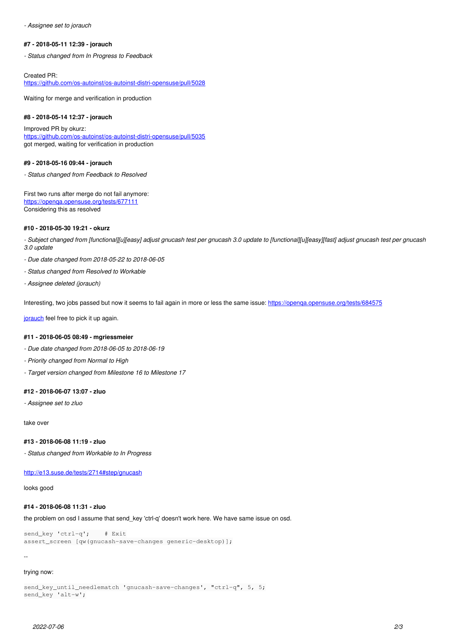*- Assignee set to jorauch*

#### **#7 - 2018-05-11 12:39 - jorauch**

*- Status changed from In Progress to Feedback*

Created PR: <https://github.com/os-autoinst/os-autoinst-distri-opensuse/pull/5028>

Waiting for merge and verification in production

#### **#8 - 2018-05-14 12:37 - jorauch**

Improved PR by okurz: <https://github.com/os-autoinst/os-autoinst-distri-opensuse/pull/5035> got merged, waiting for verification in production

### **#9 - 2018-05-16 09:44 - jorauch**

*- Status changed from Feedback to Resolved*

First two runs after merge do not fail anymore: <https://openqa.opensuse.org/tests/677111> Considering this as resolved

#### **#10 - 2018-05-30 19:21 - okurz**

*- Subject changed from [functional][u][easy] adjust gnucash test per gnucash 3.0 update to [functional][u][easy][fast] adjust gnucash test per gnucash 3.0 update*

*- Due date changed from 2018-05-22 to 2018-06-05*

- *Status changed from Resolved to Workable*
- *Assignee deleted (jorauch)*

Interesting, two jobs passed but now it seems to fail again in more or less the same issue: <https://openqa.opensuse.org/tests/684575>

[jorauch](progress.opensuse.org/users/25286) feel free to pick it up again.

#### **#11 - 2018-06-05 08:49 - mgriessmeier**

- *Due date changed from 2018-06-05 to 2018-06-19*
- *Priority changed from Normal to High*
- *Target version changed from Milestone 16 to Milestone 17*

#### **#12 - 2018-06-07 13:07 - zluo**

*- Assignee set to zluo*

take over

#### **#13 - 2018-06-08 11:19 - zluo**

*- Status changed from Workable to In Progress*

<http://e13.suse.de/tests/2714#step/gnucash>

looks good

### **#14 - 2018-06-08 11:31 - zluo**

the problem on osd I assume that send\_key 'ctrl-q' doesn't work here. We have same issue on osd.

send\_key 'ctrl-q'; # Exit assert\_screen [qw(gnucash-save-changes generic-desktop)];

--

### trying now:

send\_key\_until\_needlematch 'gnucash-save-changes', "ctrl-q", 5, 5; send\_key 'alt-w';